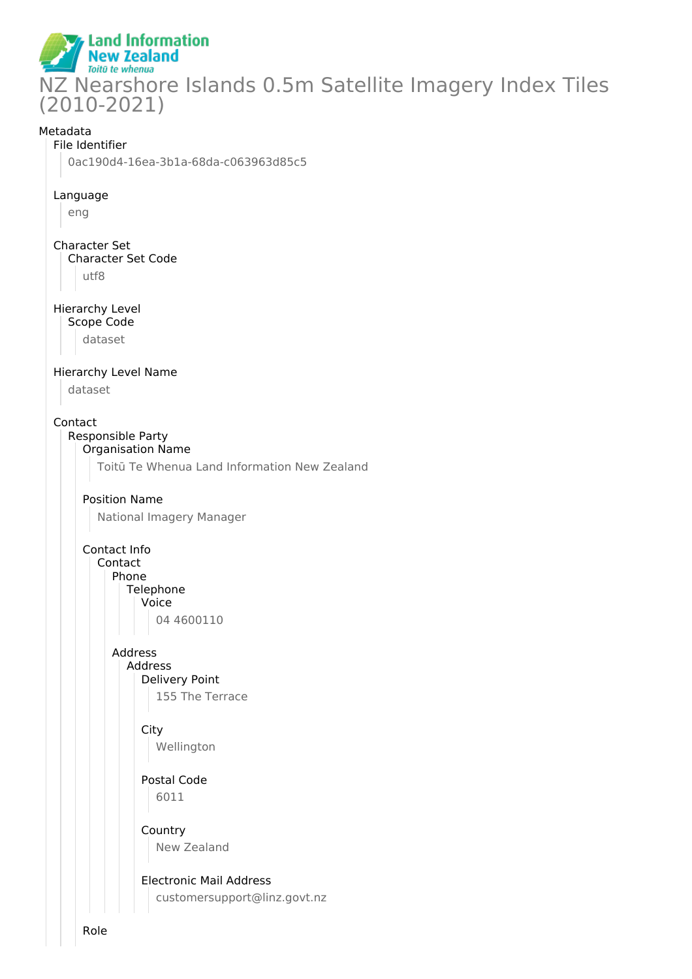

### Metadata

#### File Identifier

0ac190d4-16ea-3b1a-68da-c063963d85c5

### Language

eng

## Character Set Character Set Code utf8

Hierarchy Level Scope Code

dataset

### Hierarchy Level Name

dataset

### Contact

Responsible Party

### Organisation Name

Toitū Te Whenua Land Information New Zealand

## Position Name

National Imagery Manager

## Contact Info

Contact Phone

## Telephone

Voice 04 4600110

# Address Address

Delivery Point 155 The Terrace

## **City**

Wellington

### Postal Code 6011

Country New Zealand

## Electronic Mail Address customersupport@linz.govt.nz

Role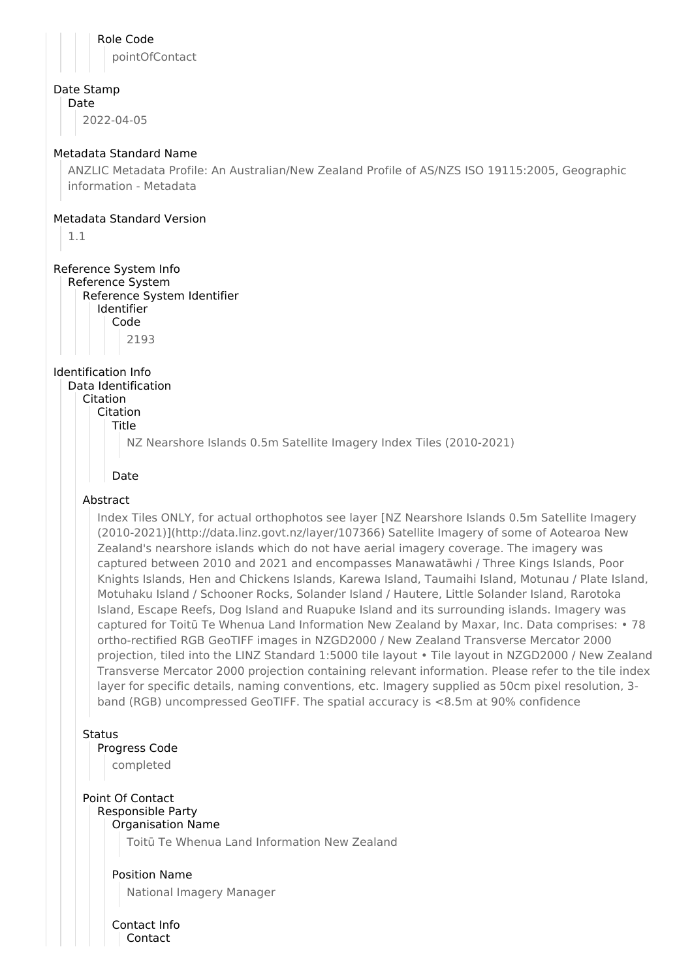Role Code pointOfContact Date Stamp Date 2022-04-05 Metadata Standard Name ANZLIC Metadata Profile: An Australian/New Zealand Profile of AS/NZS ISO 19115:2005, Geographic information - Metadata Metadata Standard Version 1.1 Reference System Info Reference System Reference System Identifier Identifier Code 2193 Identification Info Data Identification Citation Citation Title NZ Nearshore Islands 0.5m Satellite Imagery Index Tiles (2010-2021) Date Abstract Index Tiles ONLY, for actual orthophotos see layer [NZ Nearshore Islands 0.5m Satellite Imagery (2010-2021)](http://data.linz.govt.nz/layer/107366) Satellite Imagery of some of Aotearoa New Zealand's nearshore islands which do not have aerial imagery coverage. The imagery was captured between 2010 and 2021 and encompasses Manawatāwhi / Three Kings Islands, Poor Knights Islands, Hen and Chickens Islands, Karewa Island, Taumaihi Island, Motunau / Plate Island, Motuhaku Island / Schooner Rocks, Solander Island / Hautere, Little Solander Island, Rarotoka Island, Escape Reefs, Dog Island and Ruapuke Island and its surrounding islands. Imagery was captured for Toitū Te Whenua Land Information New Zealand by Maxar, Inc. Data comprises: • 78 ortho-rectified RGB GeoTIFF images in NZGD2000 / New Zealand Transverse Mercator 2000 projection, tiled into the LINZ Standard 1:5000 tile layout • Tile layout in NZGD2000 / New Zealand Transverse Mercator 2000 projection containing relevant information. Please refer to the tile index layer for specific details, naming conventions, etc. Imagery supplied as 50cm pixel resolution, 3 band (RGB) uncompressed GeoTIFF. The spatial accuracy is <8.5m at 90% confidence Status Progress Code completed Point Of Contact Responsible Party Organisation Name Toitū Te Whenua Land Information New Zealand Position Name National Imagery Manager Contact Info Contact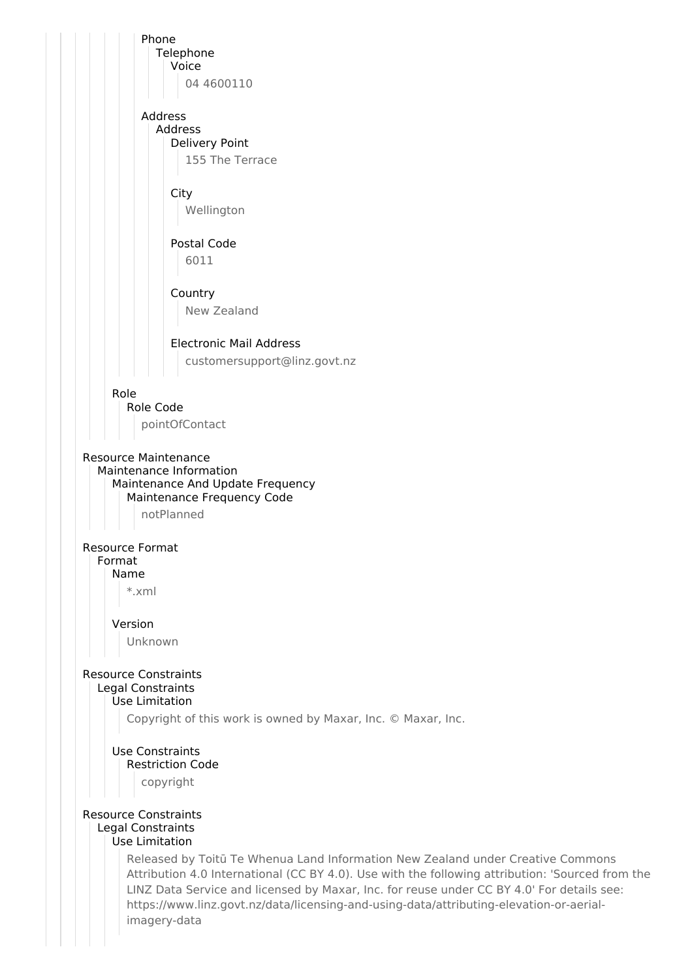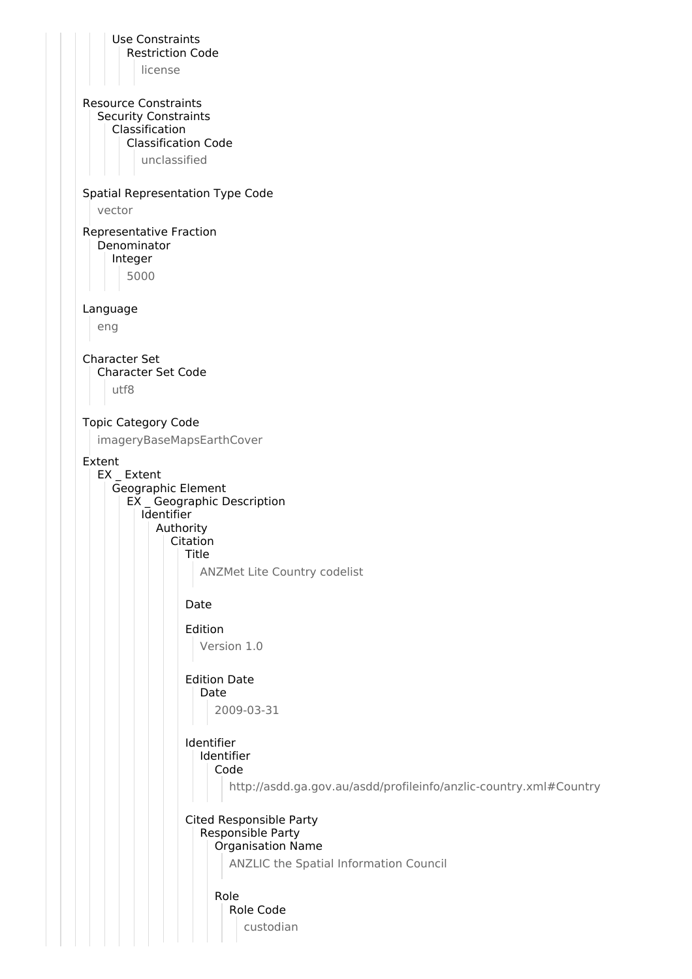Use Constraints Restriction Code license Resource Constraints Security Constraints Classification Classification Code unclassified Spatial Representation Type Code vector Representative Fraction Denominator Integer 5000 Language eng Character Set Character Set Code utf8 Topic Category Code imageryBaseMapsEarthCover Extent EX \_ Extent Geographic Element EX \_ Geographic Description Identifier Authority Citation Title ANZMet Lite Country codelist Date Edition Version 1.0 Edition Date Date 2009-03-31 Identifier Identifier Code http://asdd.ga.gov.au/asdd/profileinfo/anzlic-country.xml#Country Cited Responsible Party Responsible Party Organisation Name ANZLIC the Spatial Information Council Role Role Code custodian